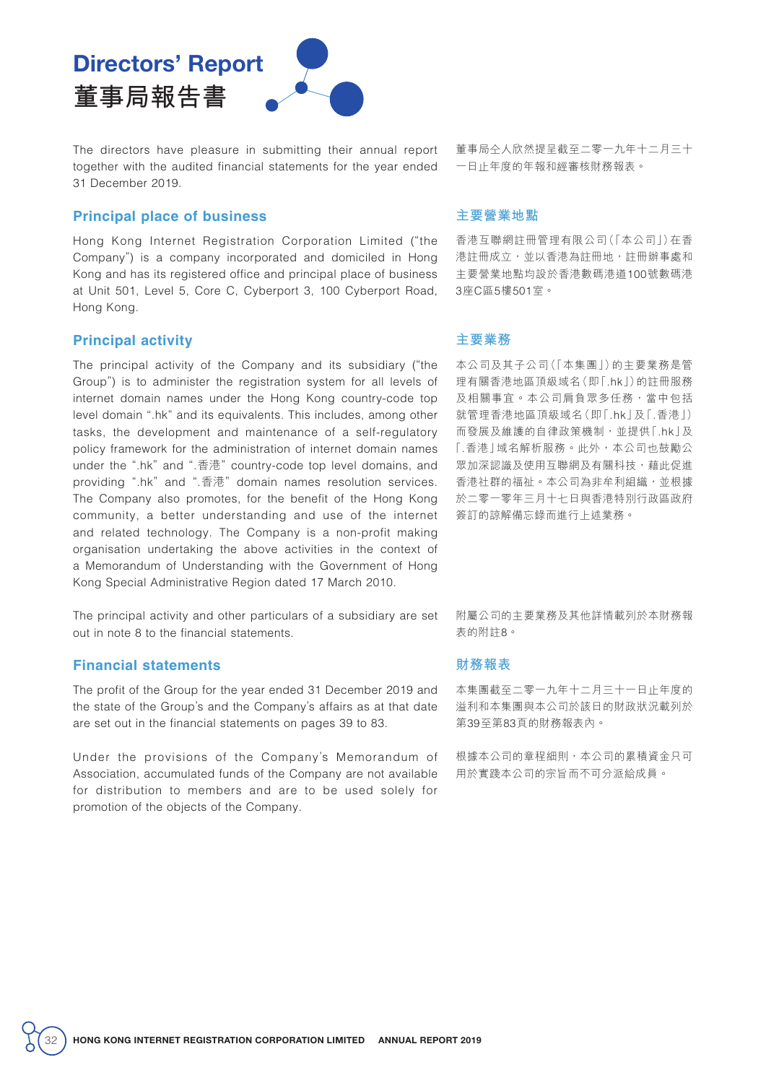# Directors' Report **董事局報告書**

The directors have pleasure in submitting their annual report together with the audited financial statements for the year ended 31 December 2019.

## **Principal place of business**

Hong Kong Internet Registration Corporation Limited ("the Company") is a company incorporated and domiciled in Hong Kong and has its registered office and principal place of business at Unit 501, Level 5, Core C, Cyberport 3, 100 Cyberport Road, Hong Kong.

## **Principal activity**

The principal activity of the Company and its subsidiary ("the Group") is to administer the registration system for all levels of internet domain names under the Hong Kong country-code top level domain ".hk" and its equivalents. This includes, among other tasks, the development and maintenance of a self-regulatory policy framework for the administration of internet domain names under the ".hk" and ".香港" country-code top level domains, and providing ".hk" and ".香港" domain names resolution services. The Company also promotes, for the benefit of the Hong Kong community, a better understanding and use of the internet and related technology. The Company is a non-profit making organisation undertaking the above activities in the context of a Memorandum of Understanding with the Government of Hong Kong Special Administrative Region dated 17 March 2010.

The principal activity and other particulars of a subsidiary are set out in note 8 to the financial statements.

### **Financial statements**

The profit of the Group for the year ended 31 December 2019 and the state of the Group's and the Company's affairs as at that date are set out in the financial statements on pages 39 to 83.

Under the provisions of the Company's Memorandum of Association, accumulated funds of the Company are not available for distribution to members and are to be used solely for promotion of the objects of the Company.

董事局仝人欣然提呈截至二零一九年十二月三十 一日止年度的年報和經審核財務報表。

#### **主要營業地點**

香港互聯網註冊管理有限公司(「本公司」)在香 港註冊成立,並以香港為註冊地,註冊辦事處和 主要營業地點均設於香港數碼港道100號數碼港 3座C區5樓501室。

#### **主要業務**

本公司及其子公司(「本集團」)的主要業務是管 理有關香港地區頂級域名(即「.hk」)的註冊服務 及相關事宜。本公司肩負眾多任務,當中包括 就管理香港地區頂級域名(即「.hk」及「.香港」) 而發展及維護的自律政策機制,並提供「.hk」及 「.香港」域名解析服務。此外,本公司也鼓勵公 眾加深認識及使用互聯網及有關科技,藉此促進 香港社群的福祉。本公司為非牟利組織,並根據 於二零一零年三月十七日與香港特別行政區政府 簽訂的諒解備忘錄而進行上述業務。

附屬公司的主要業務及其他詳情載列於本財務報 表的附註8。

#### **財務報表**

本集團截至二零一九年十二月三十一日止年度的 溢利和本集團與本公司於該日的財政狀況載列於 第39至第83頁的財務報表內。

根據本公司的章程細則,本公司的累積資金只可 用於實踐本公司的宗旨而不可分派給成員。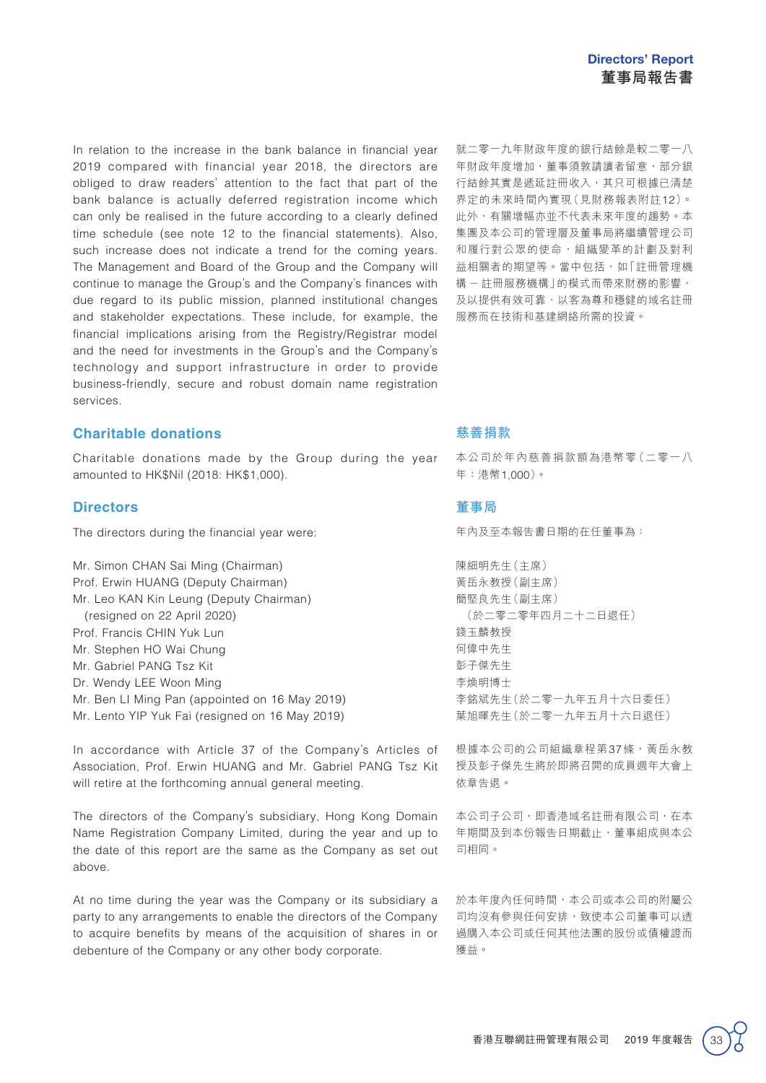In relation to the increase in the bank balance in financial year 2019 compared with financial year 2018, the directors are obliged to draw readers' attention to the fact that part of the bank balance is actually deferred registration income which can only be realised in the future according to a clearly defined time schedule (see note 12 to the financial statements). Also, such increase does not indicate a trend for the coming years. The Management and Board of the Group and the Company will continue to manage the Group's and the Company's finances with due regard to its public mission, planned institutional changes and stakeholder expectations. These include, for example, the financial implications arising from the Registry/Registrar model and the need for investments in the Group's and the Company's technology and support infrastructure in order to provide business-friendly, secure and robust domain name registration services.

#### **Charitable donations**

Charitable donations made by the Group during the year amounted to HK\$Nil (2018: HK\$1,000).

#### **Directors**

The directors during the financial year were:

Mr. Simon CHAN Sai Ming (Chairman) Prof. Erwin HUANG (Deputy Chairman) Mr. Leo KAN Kin Leung (Deputy Chairman) (resigned on 22 April 2020) Prof. Francis CHIN Yuk Lun Mr. Stephen HO Wai Chung Mr. Gabriel PANG Tsz Kit Dr. Wendy LEE Woon Ming Mr. Ben LI Ming Pan (appointed on 16 May 2019) Mr. Lento YIP Yuk Fai (resigned on 16 May 2019)

In accordance with Article 37 of the Company's Articles of Association, Prof. Erwin HUANG and Mr. Gabriel PANG Tsz Kit will retire at the forthcoming annual general meeting.

The directors of the Company's subsidiary, Hong Kong Domain Name Registration Company Limited, during the year and up to the date of this report are the same as the Company as set out above.

At no time during the year was the Company or its subsidiary a party to any arrangements to enable the directors of the Company to acquire benefits by means of the acquisition of shares in or debenture of the Company or any other body corporate.

就二零一九年財政年度的銀行結餘是較二零一八 年財政年度增加,董事須敦請讀者留意,部分銀 行結餘其實是遞延註冊收入,其只可根據已清楚 界定的未來時間內實現(見財務報表附註12)。 此外,有關增幅亦並不代表未來年度的趨勢。本 集團及本公司的管理層及董事局將繼續管理公司 和履行對公眾的使命,組織變革的計劃及對利 益相關者的期望等。當中包括,如「註冊管理機 構-註冊服務機構」的模式而帶來財務的影響, 及以提供有效可靠、以客為尊和穩健的域名註冊 服務而在技術和基建網絡所需的投資。

## **慈善捐款**

本公司於年內慈善捐款額為港幣零(二零一八 年:港幣1,000)。

#### **董事局**

年內及至本報告書日期的在任董事為:

陳細明先生(主席) 黃岳永教授(副主席) 簡堅良先生(副主席) (於二零二零年四月二十二日退任) 錢玉麟教授 何偉中先生 彭子傑先生 李煥明博士 李銘斌先生(於二零一九年五月十六日委任) 葉旭暉先生(於二零一九年五月十六日退任)

根據本公司的公司組織章程第37條,黃岳永教 授及彭子傑先生將於即將召開的成員週年大會上 依章告退。

本公司子公司,即香港域名註冊有限公司,在本 年期間及到本份報告日期截止,董事組成與本公 司相同。

於本年度內任何時間,本公司或本公司的附屬公 司均沒有參與任何安排,致使本公司董事可以透 過購入本公司或任何其他法團的股份或債權證而 獲益。